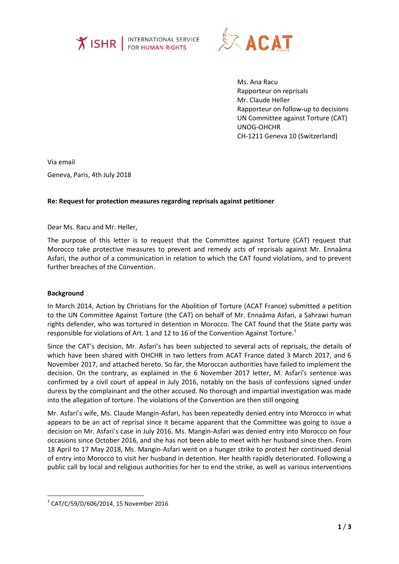



Ms. Ana Racu Rapporteur on reprisals Mr. Claude Heller Rapporteur on follow-up to decisions UN Committee against Torture (CAT) UNOG-OHCHR CH-1211 Geneva 10 (Switzerland)

Via email Geneva, Paris, 4th July 2018

## **Re: Request for protection measures regarding reprisals against petitioner**

Dear Ms. Racu and Mr. Heller,

The purpose of this letter is to request that the Committee against Torture (CAT) request that Morocco take protective measures to prevent and remedy acts of reprisals against Mr. Ennaâma Asfari, the author of a communication in relation to which the CAT found violations, and to prevent further breaches of the Convention.

## **Background**

**.** 

In March 2014, Action by Christians for the Abolition of Torture (ACAT France) submitted a petition to the UN Committee Against Torture (the CAT) on behalf of Mr. Ennaâma Asfari, a Sahrawi human rights defender, who was tortured in detention in Morocco. The CAT found that the State party was responsible for violations of Art. 1 and 12 to 16 of the Convention Against Torture.<sup>1</sup>

Since the CAT's decision, Mr. Asfari's has been subjected to several acts of reprisals, the details of which have been shared with OHCHR in two letters from ACAT France dated 3 March 2017, and 6 November 2017, and attached hereto. So far, the Moroccan authorities have failed to implement the decision. On the contrary, as explained in the 6 November 2017 letter, M. Asfari's sentence was confirmed by a civil court of appeal in July 2016, notably on the basis of confessions signed under duress by the complainant and the other accused. No thorough and impartial investigation was made into the allegation of torture. The violations of the Convention are then still ongoing

Mr. Asfari's wife, Ms. Claude Mangin-Asfari, has been repeatedly denied entry into Morocco in what appears to be an act of reprisal since it became apparent that the Committee was going to issue a decision on Mr. Asfari's case in July 2016. Ms. Mangin-Asfari was denied entry into Morocco on four occasions since October 2016, and she has not been able to meet with her husband since then. From 18 April to 17 May 2018, Ms. Mangin-Asfari went on a hunger strike to protest her continued denial of entry into Morocco to visit her husband in detention. Her health rapidly deteriorated. Following a public call by local and religious authorities for her to end the strike, as well as various interventions

 $^{1}$  CAT/C/59/D/606/2014, 15 November 2016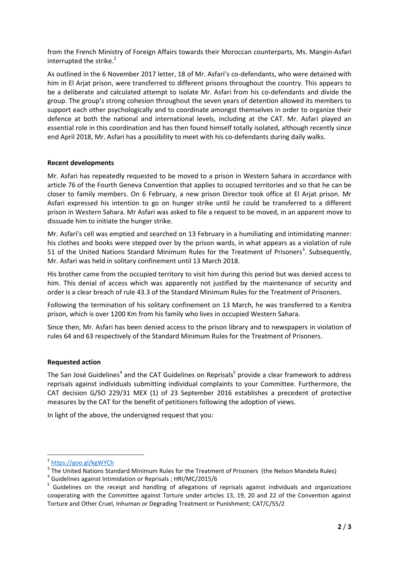from the French Ministry of Foreign Affairs towards their Moroccan counterparts, Ms. Mangin-Asfari interrupted the strike. 2

As outlined in the 6 November 2017 letter, 18 of Mr. Asfari's co-defendants, who were detained with him in El Arjat prison, were transferred to different prisons throughout the country. This appears to be a deliberate and calculated attempt to isolate Mr. Asfari from his co-defendants and divide the group. The group's strong cohesion throughout the seven years of detention allowed its members to support each other psychologically and to coordinate amongst themselves in order to organize their defence at both the national and international levels, including at the CAT. Mr. Asfari played an essential role in this coordination and has then found himself totally isolated, although recently since end April 2018, Mr. Asfari has a possibility to meet with his co-defendants during daily walks.

## **Recent developments**

Mr. Asfari has repeatedly requested to be moved to a prison in Western Sahara in accordance with article 76 of the Fourth Geneva Convention that applies to occupied territories and so that he can be closer to family members. On 6 February, a new prison Director took office at El Arjat prison. Mr Asfari expressed his intention to go on hunger strike until he could be transferred to a different prison in Western Sahara. Mr Asfari was asked to file a request to be moved, in an apparent move to dissuade him to initiate the hunger strike.

Mr. Asfari's cell was emptied and searched on 13 February in a humiliating and intimidating manner: his clothes and books were stepped over by the prison wards, in what appears as a violation of rule 51 of the United Nations Standard Minimum Rules for the Treatment of Prisoners<sup>3</sup>. Subsequently, Mr. Asfari was held in solitary confinement until 13 March 2018.

His brother came from the occupied territory to visit him during this period but was denied access to him. This denial of access which was apparently not justified by the maintenance of security and order is a clear breach of rule 43.3 of the Standard Minimum Rules for the Treatment of Prisoners.

Following the termination of his solitary confinement on 13 March, he was transferred to a Kenitra prison, which is over 1200 Km from his family who lives in occupied Western Sahara.

Since then, Mr. Asfari has been denied access to the prison library and to newspapers in violation of rules 64 and 63 respectively of the Standard Minimum Rules for the Treatment of Prisoners.

## **Requested action**

The San José Guidelines<sup>4</sup> and the CAT Guidelines on Reprisals<sup>5</sup> provide a clear framework to address reprisals against individuals submitting individual complaints to your Committee. Furthermore, the CAT decision G/SO 229/31 MEX (1) of 23 September 2016 establishes a precedent of protective measures by the CAT for the benefit of petitioners following the adoption of views.

In light of the above, the undersigned request that you:

1

<sup>&</sup>lt;sup>2</sup> <https://goo.gl/kgWYCh>

 $3$  The United Nations Standard Minimum Rules for the Treatment of Prisoners (the Nelson Mandela Rules)

<sup>&</sup>lt;sup>4</sup> Guidelines against Intimidation or Reprisals ; HRI/MC/2015/6

<sup>&</sup>lt;sup>5</sup> Guidelines on the receipt and handling of allegations of reprisals against individuals and organizations cooperating with the Committee against Torture under articles 13, 19, 20 and 22 of the Convention against Torture and Other Cruel, Inhuman or Degrading Treatment or Punishment; CAT/C/55/2